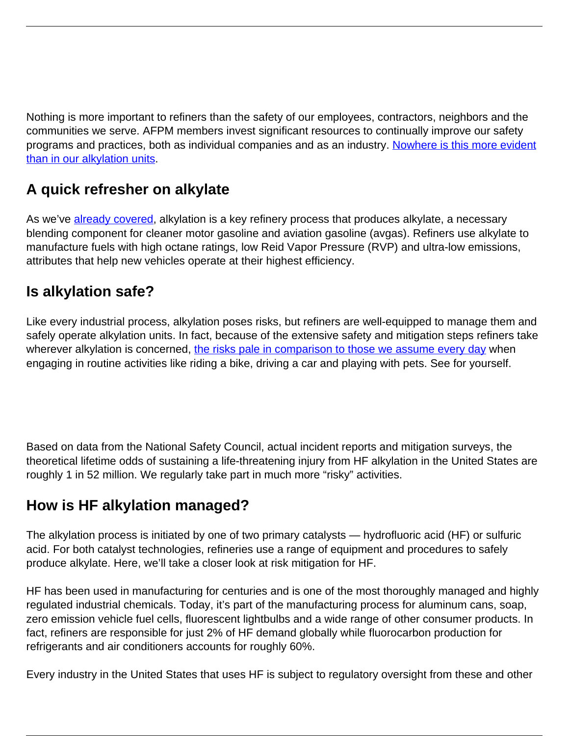Nothing is more important to refiners than the safety of our employees, contractors, neighbors and the communities we serve. AFPM members invest significant resources to continually improve our safety programs and practices, both as individual companies and as an industry. [Nowhere is this more evident](https://www.afpm.org/sites/default/files/issue_resources/Alkylation_SafetyRiskMitigation.pdf) [than in our alkylation units](https://www.afpm.org/sites/default/files/issue_resources/Alkylation_SafetyRiskMitigation.pdf).

## **A quick refresher on alkylate**

As we've **[already covered](https://www.afpm.org/newsroom/blog/alkylate-understanding-key-component-cleaner-gasoline)**, alkylation is a key refinery process that produces alkylate, a necessary blending component for cleaner motor gasoline and aviation gasoline (avgas). Refiners use alkylate to manufacture fuels with high octane ratings, low Reid Vapor Pressure (RVP) and ultra-low emissions, attributes that help new vehicles operate at their highest efficiency.

## **Is alkylation safe?**

Like every industrial process, alkylation poses risks, but refiners are well-equipped to manage them and safely operate alkylation units. In fact, because of the extensive safety and mitigation steps refiners take wherever alkylation is concerned, [the risks pale in comparison to those we assume every day](https://www.afpm.org/sites/default/files/issue_resources/Alkylation_SafetyRiskMitigation.pdf) when engaging in routine activities like riding a bike, driving a car and playing with pets. See for yourself.

Based on data from the National Safety Council, actual incident reports and mitigation surveys, the theoretical lifetime odds of sustaining a life-threatening injury from HF alkylation in the United States are roughly 1 in 52 million. We regularly take part in much more "risky" activities.

## **How is HF alkylation managed?**

The alkylation process is initiated by one of two primary catalysts — hydrofluoric acid (HF) or sulfuric acid. For both catalyst technologies, refineries use a range of equipment and procedures to safely produce alkylate. Here, we'll take a closer look at risk mitigation for HF.

HF has been used in manufacturing for centuries and is one of the most thoroughly managed and highly regulated industrial chemicals. Today, it's part of the manufacturing process for aluminum cans, soap, zero emission vehicle fuel cells, fluorescent lightbulbs and a wide range of other consumer products. In fact, refiners are responsible for just 2% of HF demand globally while fluorocarbon production for refrigerants and air conditioners accounts for roughly 60%.

Every industry in the United States that uses HF is subject to regulatory oversight from these and other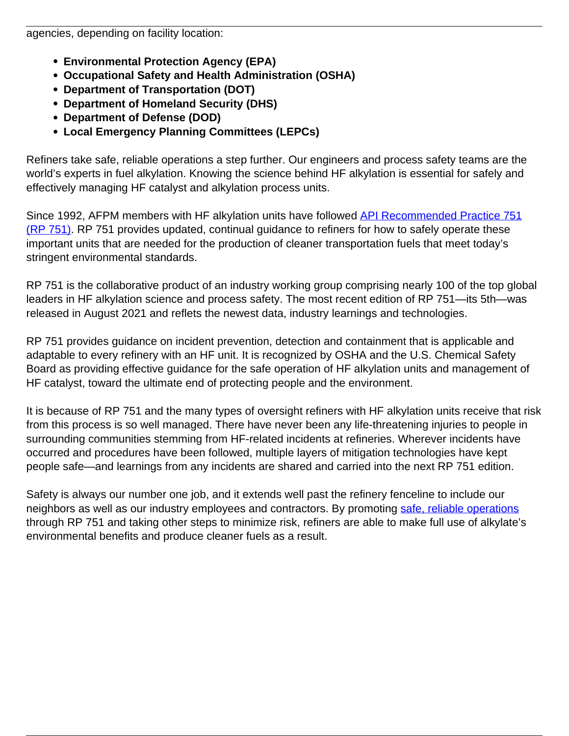agencies, depending on facility location:

- **Environmental Protection Agency (EPA)**
- **Occupational Safety and Health Administration (OSHA)**
- **Department of Transportation (DOT)**
- **Department of Homeland Security (DHS)**
- **Department of Defense (DOD)**
- **Local Emergency Planning Committees (LEPCs)**

Refiners take safe, reliable operations a step further. Our engineers and process safety teams are the world's experts in fuel alkylation. Knowing the science behind HF alkylation is essential for safely and effectively managing HF catalyst and alkylation process units.

Since 1992, AFPM members with HF alkylation units have followed [API Recommended Practice 751](https://www.api.org/oil-and-natural-gas/health-and-safety/refinery-and-plant-safety/process-safety/process-safety-standards/rp-751) [\(RP 751\)](https://www.api.org/oil-and-natural-gas/health-and-safety/refinery-and-plant-safety/process-safety/process-safety-standards/rp-751). RP 751 provides updated, continual guidance to refiners for how to safely operate these important units that are needed for the production of cleaner transportation fuels that meet today's stringent environmental standards.

RP 751 is the collaborative product of an industry working group comprising nearly 100 of the top global leaders in HF alkylation science and process safety. The most recent edition of RP 751—its 5th—was released in August 2021 and reflets the newest data, industry learnings and technologies.

RP 751 provides guidance on incident prevention, detection and containment that is applicable and adaptable to every refinery with an HF unit. It is recognized by OSHA and the U.S. Chemical Safety Board as providing effective guidance for the safe operation of HF alkylation units and management of HF catalyst, toward the ultimate end of protecting people and the environment.

It is because of RP 751 and the many types of oversight refiners with HF alkylation units receive that risk from this process is so well managed. There have never been any life-threatening injuries to people in surrounding communities stemming from HF-related incidents at refineries. Wherever incidents have occurred and procedures have been followed, multiple layers of mitigation technologies have kept people safe—and learnings from any incidents are shared and carried into the next RP 751 edition.

Safety is always our number one job, and it extends well past the refinery fenceline to include our neighbors as well as our industry employees and contractors. By promoting [safe, reliable operations](https://www.afpm.org/sites/default/files/issue_resources/Alkylation_SafetyRiskMitigation.pdf) through RP 751 and taking other steps to minimize risk, refiners are able to make full use of alkylate's environmental benefits and produce cleaner fuels as a result.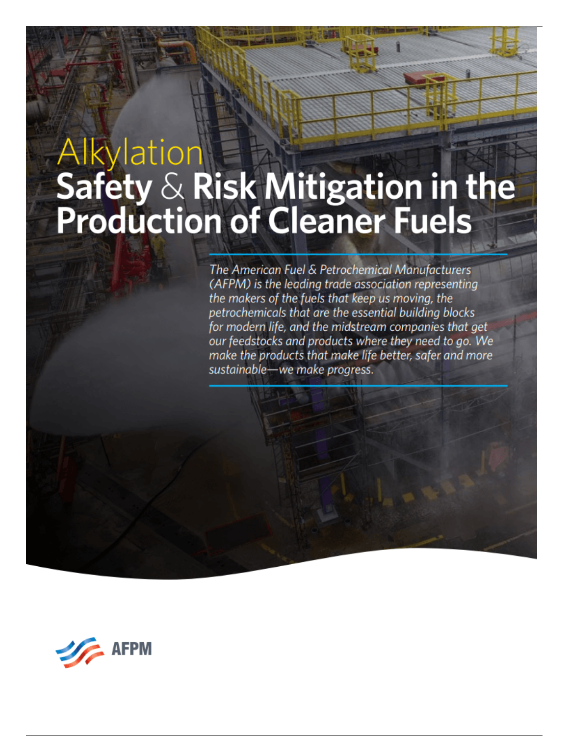## Alkylation<br>Safety & Risk Mitigation in the<br>Production of Cleaner Fuels

The American Fuel & Petrochemical Manufacturers (AFPM) is the leading trade association representing the makers of the fuels that keep us moving, the petrochemicals that are the essential building blocks for modern life, and the midstream companies that get our feedstocks and products where they need to go. We make the products that make life better, safer and more sustainable-we make progress.